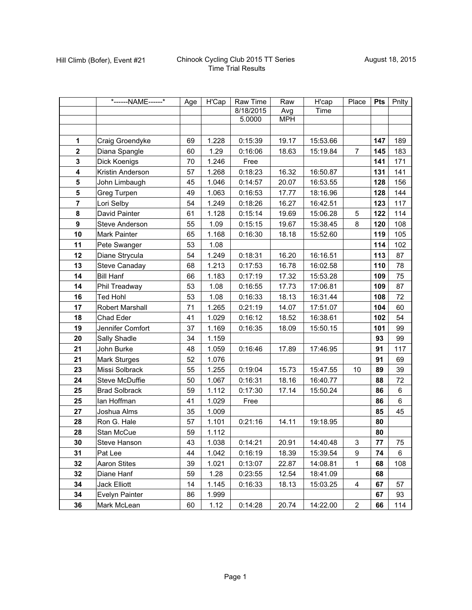|                         | *------NAME------*     | Age | H'Cap | Raw Time  | Raw        | H'cap    | Place          | <b>Pts</b> | Pnlty |
|-------------------------|------------------------|-----|-------|-----------|------------|----------|----------------|------------|-------|
|                         |                        |     |       | 8/18/2015 | Avg        | Time     |                |            |       |
|                         |                        |     |       | 5.0000    | <b>MPH</b> |          |                |            |       |
|                         |                        |     |       |           |            |          |                |            |       |
| $\mathbf 1$             | Craig Groendyke        | 69  | 1.228 | 0:15:39   | 19.17      | 15:53.66 |                | 147        | 189   |
| $\mathbf{2}$            | Diana Spangle          | 60  | 1.29  | 0:16:06   | 18.63      | 15:19.84 | $\overline{7}$ | 145        | 183   |
| $\mathbf 3$             | Dick Koenigs           | 70  | 1.246 | Free      |            |          |                | 141        | 171   |
| $\overline{\mathbf{4}}$ | Kristin Anderson       | 57  | 1.268 | 0:18:23   | 16.32      | 16:50.87 |                | 131        | 141   |
| 5                       | John Limbaugh          | 45  | 1.046 | 0:14:57   | 20.07      | 16:53.55 |                | 128        | 156   |
| ${\bf 5}$               | Greg Turpen            | 49  | 1.063 | 0:16:53   | 17.77      | 18:16.96 |                | 128        | 144   |
| $\overline{7}$          | Lori Selby             | 54  | 1.249 | 0:18:26   | 16.27      | 16:42.51 |                | 123        | 117   |
| 8                       | David Painter          | 61  | 1.128 | 0:15:14   | 19.69      | 15:06.28 | 5              | 122        | 114   |
| $\boldsymbol{9}$        | Steve Anderson         | 55  | 1.09  | 0:15:15   | 19.67      | 15:38.45 | 8              | 120        | 108   |
| 10                      | Mark Painter           | 65  | 1.168 | 0:16:30   | 18.18      | 15:52.60 |                | 119        | 105   |
| 11                      | Pete Swanger           | 53  | 1.08  |           |            |          |                | 114        | 102   |
| 12                      | Diane Strycula         | 54  | 1.249 | 0:18:31   | 16.20      | 16:16.51 |                | 113        | 87    |
| 13                      | <b>Steve Canaday</b>   | 68  | 1.213 | 0:17:53   | 16.78      | 16:02.58 |                | 110        | 78    |
| 14                      | <b>Bill Hanf</b>       | 66  | 1.183 | 0:17:19   | 17.32      | 15:53.28 |                | 109        | 75    |
| 14                      | Phil Treadway          | 53  | 1.08  | 0:16:55   | 17.73      | 17:06.81 |                | 109        | 87    |
| 16                      | <b>Ted Hohl</b>        | 53  | 1.08  | 0:16:33   | 18.13      | 16:31.44 |                | 108        | 72    |
| 17                      | <b>Robert Marshall</b> | 71  | 1.265 | 0:21:19   | 14.07      | 17:51.07 |                | 104        | 60    |
| 18                      | Chad Eder              | 41  | 1.029 | 0:16:12   | 18.52      | 16:38.61 |                | 102        | 54    |
| 19                      | Jennifer Comfort       | 37  | 1.169 | 0:16:35   | 18.09      | 15:50.15 |                | 101        | 99    |
| 20                      | Sally Shadle           | 34  | 1.159 |           |            |          |                | 93         | 99    |
| 21                      | John Burke             | 48  | 1.059 | 0:16:46   | 17.89      | 17:46.95 |                | 91         | 117   |
| 21                      | <b>Mark Sturges</b>    | 52  | 1.076 |           |            |          |                | 91         | 69    |
| 23                      | Missi Solbrack         | 55  | 1.255 | 0:19:04   | 15.73      | 15:47.55 | 10             | 89         | 39    |
| 24                      | Steve McDuffie         | 50  | 1.067 | 0:16:31   | 18.16      | 16:40.77 |                | 88         | 72    |
| 25                      | <b>Brad Solbrack</b>   | 59  | 1.112 | 0:17:30   | 17.14      | 15:50.24 |                | 86         | 6     |
| 25                      | lan Hoffman            | 41  | 1.029 | Free      |            |          |                | 86         | 6     |
| 27                      | Joshua Alms            | 35  | 1.009 |           |            |          |                | 85         | 45    |
| 28                      | Ron G. Hale            | 57  | 1.101 | 0:21:16   | 14.11      | 19:18.95 |                | 80         |       |
| 28                      | Stan McCue             | 59  | 1.112 |           |            |          |                | 80         |       |
| 30                      | Steve Hanson           | 43  | 1.038 | 0:14:21   | 20.91      | 14:40.48 | 3              | 77         | 75    |
| 31                      | Pat Lee                | 44  | 1.042 | 0:16:19   | 18.39      | 15:39.54 | 9              | 74         | 6     |
| 32                      | <b>Aaron Stites</b>    | 39  | 1.021 | 0:13:07   | 22.87      | 14:08.81 | $\mathbf{1}$   | 68         | 108   |
| 32                      | Diane Hanf             | 59  | 1.28  | 0:23:55   | 12.54      | 18:41.09 |                | 68         |       |
| 34                      | <b>Jack Elliott</b>    | 14  | 1.145 | 0:16:33   | 18.13      | 15:03.25 | 4              | 67         | 57    |
| 34                      | Evelyn Painter         | 86  | 1.999 |           |            |          |                | 67         | 93    |
| 36                      | Mark McLean            | 60  | 1.12  | 0:14:28   | 20.74      | 14:22.00 | $\overline{a}$ | 66         | 114   |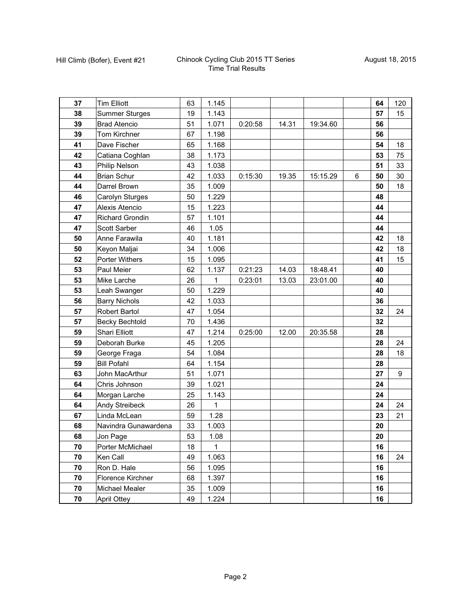| 37 | <b>Tim Elliott</b>     | 63 | 1.145        |         |       |          |   | 64 | 120 |
|----|------------------------|----|--------------|---------|-------|----------|---|----|-----|
| 38 | <b>Summer Sturges</b>  | 19 | 1.143        |         |       |          |   | 57 | 15  |
| 39 | <b>Brad Atencio</b>    | 51 | 1.071        | 0:20:58 | 14.31 | 19:34.60 |   | 56 |     |
| 39 | Tom Kirchner           | 67 | 1.198        |         |       |          |   | 56 |     |
| 41 | Dave Fischer           | 65 | 1.168        |         |       |          |   | 54 | 18  |
| 42 | Catiana Coghlan        | 38 | 1.173        |         |       |          |   | 53 | 75  |
| 43 | Philip Nelson          | 43 | 1.038        |         |       |          |   | 51 | 33  |
| 44 | <b>Brian Schur</b>     | 42 | 1.033        | 0:15:30 | 19.35 | 15:15.29 | 6 | 50 | 30  |
| 44 | Darrel Brown           | 35 | 1.009        |         |       |          |   | 50 | 18  |
| 46 | Carolyn Sturges        | 50 | 1.229        |         |       |          |   | 48 |     |
| 47 | Alexis Atencio         | 15 | 1.223        |         |       |          |   | 44 |     |
| 47 | <b>Richard Grondin</b> | 57 | 1.101        |         |       |          |   | 44 |     |
| 47 | Scott Sarber           | 46 | 1.05         |         |       |          |   | 44 |     |
| 50 | Anne Farawila          | 40 | 1.181        |         |       |          |   | 42 | 18  |
| 50 | Keyon Maljai           | 34 | 1.006        |         |       |          |   | 42 | 18  |
| 52 | Porter Withers         | 15 | 1.095        |         |       |          |   | 41 | 15  |
| 53 | Paul Meier             | 62 | 1.137        | 0:21:23 | 14.03 | 18:48.41 |   | 40 |     |
| 53 | Mike Larche            | 26 | 1            | 0:23:01 | 13.03 | 23:01.00 |   | 40 |     |
| 53 | Leah Swanger           | 50 | 1.229        |         |       |          |   | 40 |     |
| 56 | <b>Barry Nichols</b>   | 42 | 1.033        |         |       |          |   | 36 |     |
| 57 | Robert Bartol          | 47 | 1.054        |         |       |          |   | 32 | 24  |
| 57 | <b>Becky Bechtold</b>  | 70 | 1.436        |         |       |          |   | 32 |     |
| 59 | Shari Elliott          | 47 | 1.214        | 0:25:00 | 12.00 | 20:35.58 |   | 28 |     |
| 59 | Deborah Burke          | 45 | 1.205        |         |       |          |   | 28 | 24  |
| 59 | George Fraga           | 54 | 1.084        |         |       |          |   | 28 | 18  |
| 59 | <b>Bill Pofahl</b>     | 64 | 1.154        |         |       |          |   | 28 |     |
| 63 | John MacArthur         | 51 | 1.071        |         |       |          |   | 27 | 9   |
| 64 | Chris Johnson          | 39 | 1.021        |         |       |          |   | 24 |     |
| 64 | Morgan Larche          | 25 | 1.143        |         |       |          |   | 24 |     |
| 64 | Andy Streibeck         | 26 | 1            |         |       |          |   | 24 | 24  |
| 67 | Linda McLean           | 59 | 1.28         |         |       |          |   | 23 | 21  |
| 68 | Navindra Gunawardena   | 33 | 1.003        |         |       |          |   | 20 |     |
| 68 | Jon Page               | 53 | 1.08         |         |       |          |   | 20 |     |
| 70 | Porter McMichael       | 18 | $\mathbf{1}$ |         |       |          |   | 16 |     |
| 70 | Ken Call               | 49 | 1.063        |         |       |          |   | 16 | 24  |
| 70 | Ron D. Hale            | 56 | 1.095        |         |       |          |   | 16 |     |
| 70 | Florence Kirchner      | 68 | 1.397        |         |       |          |   | 16 |     |
| 70 | Michael Mealer         | 35 | 1.009        |         |       |          |   | 16 |     |
| 70 | <b>April Ottey</b>     | 49 | 1.224        |         |       |          |   | 16 |     |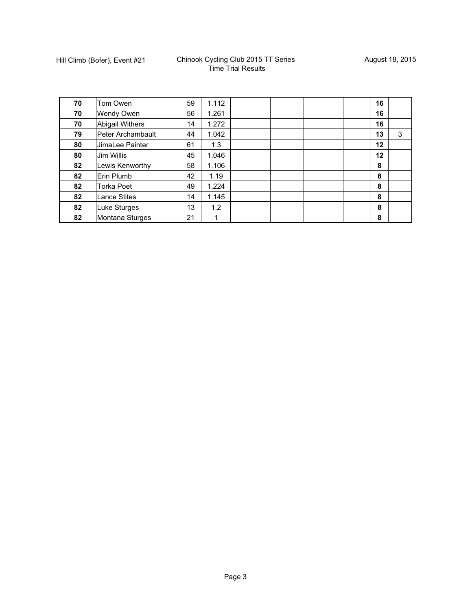| 70 | Tom Owen            | 59 | 1.112 |  |  | 16 |   |
|----|---------------------|----|-------|--|--|----|---|
| 70 | Wendy Owen          | 56 | 1.261 |  |  | 16 |   |
| 70 | Abigail Withers     | 14 | 1.272 |  |  | 16 |   |
| 79 | Peter Archambault   | 44 | 1.042 |  |  | 13 | 3 |
| 80 | JimaLee Painter     | 61 | 1.3   |  |  | 12 |   |
| 80 | Jim Willis          | 45 | 1.046 |  |  | 12 |   |
| 82 | Lewis Kenworthy     | 58 | 1.106 |  |  | 8  |   |
| 82 | Erin Plumb          | 42 | 1.19  |  |  | 8  |   |
| 82 | <b>Torka Poet</b>   | 49 | 1.224 |  |  | 8  |   |
| 82 | <b>Lance Stites</b> | 14 | 1.145 |  |  | 8  |   |
| 82 | Luke Sturges        | 13 | 1.2   |  |  | 8  |   |
| 82 | Montana Sturges     | 21 | 1     |  |  | 8  |   |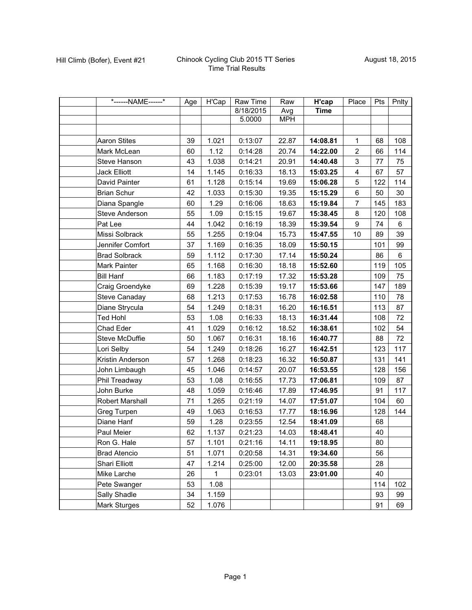| *------NAME------*    | Age | H'Cap | Raw Time  | Raw        | H'cap       | Place          | Pts | Pnlty          |
|-----------------------|-----|-------|-----------|------------|-------------|----------------|-----|----------------|
|                       |     |       | 8/18/2015 | Avg        | <b>Time</b> |                |     |                |
|                       |     |       | 5.0000    | <b>MPH</b> |             |                |     |                |
|                       |     |       |           |            |             |                |     |                |
| <b>Aaron Stites</b>   | 39  | 1.021 | 0:13:07   | 22.87      | 14:08.81    | 1              | 68  | 108            |
| Mark McLean           | 60  | 1.12  | 0:14:28   | 20.74      | 14:22.00    | $\overline{c}$ | 66  | 114            |
| Steve Hanson          | 43  | 1.038 | 0:14:21   | 20.91      | 14:40.48    | 3              | 77  | 75             |
| <b>Jack Elliott</b>   | 14  | 1.145 | 0:16:33   | 18.13      | 15:03.25    | 4              | 67  | 57             |
| David Painter         | 61  | 1.128 | 0:15:14   | 19.69      | 15:06.28    | 5              | 122 | 114            |
| <b>Brian Schur</b>    | 42  | 1.033 | 0:15:30   | 19.35      | 15:15.29    | 6              | 50  | 30             |
| Diana Spangle         | 60  | 1.29  | 0:16:06   | 18.63      | 15:19.84    | $\overline{7}$ | 145 | 183            |
| <b>Steve Anderson</b> | 55  | 1.09  | 0:15:15   | 19.67      | 15:38.45    | 8              | 120 | 108            |
| Pat Lee               | 44  | 1.042 | 0:16:19   | 18.39      | 15:39.54    | 9              | 74  | 6              |
| Missi Solbrack        | 55  | 1.255 | 0:19:04   | 15.73      | 15:47.55    | 10             | 89  | 39             |
| Jennifer Comfort      | 37  | 1.169 | 0:16:35   | 18.09      | 15:50.15    |                | 101 | 99             |
| <b>Brad Solbrack</b>  | 59  | 1.112 | 0:17:30   | 17.14      | 15:50.24    |                | 86  | $6\phantom{a}$ |
| Mark Painter          | 65  | 1.168 | 0:16:30   | 18.18      | 15:52.60    |                | 119 | 105            |
| <b>Bill Hanf</b>      | 66  | 1.183 | 0:17:19   | 17.32      | 15:53.28    |                | 109 | 75             |
| Craig Groendyke       | 69  | 1.228 | 0:15:39   | 19.17      | 15:53.66    |                | 147 | 189            |
| <b>Steve Canaday</b>  | 68  | 1.213 | 0:17:53   | 16.78      | 16:02.58    |                | 110 | 78             |
| Diane Strycula        | 54  | 1.249 | 0:18:31   | 16.20      | 16:16.51    |                | 113 | 87             |
| <b>Ted Hohl</b>       | 53  | 1.08  | 0:16:33   | 18.13      | 16:31.44    |                | 108 | 72             |
| Chad Eder             | 41  | 1.029 | 0:16:12   | 18.52      | 16:38.61    |                | 102 | 54             |
| Steve McDuffie        | 50  | 1.067 | 0:16:31   | 18.16      | 16:40.77    |                | 88  | 72             |
| Lori Selby            | 54  | 1.249 | 0:18:26   | 16.27      | 16:42.51    |                | 123 | 117            |
| Kristin Anderson      | 57  | 1.268 | 0:18:23   | 16.32      | 16:50.87    |                | 131 | 141            |
| John Limbaugh         | 45  | 1.046 | 0:14:57   | 20.07      | 16:53.55    |                | 128 | 156            |
| Phil Treadway         | 53  | 1.08  | 0:16:55   | 17.73      | 17:06.81    |                | 109 | 87             |
| John Burke            | 48  | 1.059 | 0:16:46   | 17.89      | 17:46.95    |                | 91  | 117            |
| Robert Marshall       | 71  | 1.265 | 0:21:19   | 14.07      | 17:51.07    |                | 104 | 60             |
| Greg Turpen           | 49  | 1.063 | 0:16:53   | 17.77      | 18:16.96    |                | 128 | 144            |
| Diane Hanf            | 59  | 1.28  | 0:23:55   | 12.54      | 18:41.09    |                | 68  |                |
| Paul Meier            | 62  | 1.137 | 0:21:23   | 14.03      | 18:48.41    |                | 40  |                |
| Ron G. Hale           | 57  | 1.101 | 0:21:16   | 14.11      | 19:18.95    |                | 80  |                |
| <b>Brad Atencio</b>   | 51  | 1.071 | 0:20:58   | 14.31      | 19:34.60    |                | 56  |                |
| Shari Elliott         | 47  | 1.214 | 0:25:00   | 12.00      | 20:35.58    |                | 28  |                |
| Mike Larche           | 26  | 1     | 0:23:01   | 13.03      | 23:01.00    |                | 40  |                |
| Pete Swanger          | 53  | 1.08  |           |            |             |                | 114 | 102            |
| Sally Shadle          | 34  | 1.159 |           |            |             |                | 93  | 99             |
| Mark Sturges          | 52  | 1.076 |           |            |             |                | 91  | 69             |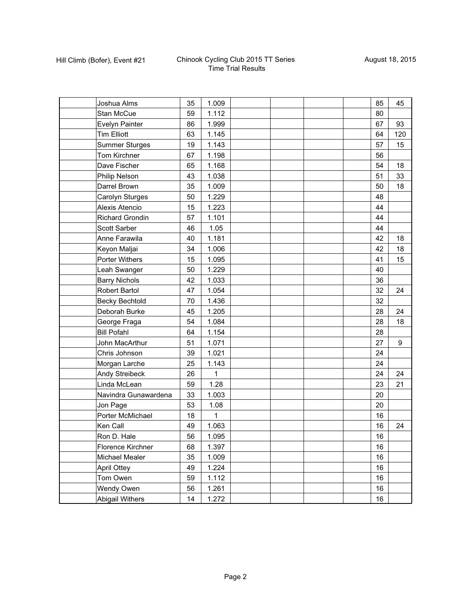| Joshua Alms            | 35 | 1.009 |  |  | 85 | 45  |
|------------------------|----|-------|--|--|----|-----|
| Stan McCue             | 59 | 1.112 |  |  | 80 |     |
| Evelyn Painter         | 86 | 1.999 |  |  | 67 | 93  |
| <b>Tim Elliott</b>     | 63 | 1.145 |  |  | 64 | 120 |
| <b>Summer Sturges</b>  | 19 | 1.143 |  |  | 57 | 15  |
| Tom Kirchner           | 67 | 1.198 |  |  | 56 |     |
| Dave Fischer           | 65 | 1.168 |  |  | 54 | 18  |
| Philip Nelson          | 43 | 1.038 |  |  | 51 | 33  |
| Darrel Brown           | 35 | 1.009 |  |  | 50 | 18  |
| Carolyn Sturges        | 50 | 1.229 |  |  | 48 |     |
| Alexis Atencio         | 15 | 1.223 |  |  | 44 |     |
| <b>Richard Grondin</b> | 57 | 1.101 |  |  | 44 |     |
| Scott Sarber           | 46 | 1.05  |  |  | 44 |     |
| Anne Farawila          | 40 | 1.181 |  |  | 42 | 18  |
| Keyon Maljai           | 34 | 1.006 |  |  | 42 | 18  |
| Porter Withers         | 15 | 1.095 |  |  | 41 | 15  |
| Leah Swanger           | 50 | 1.229 |  |  | 40 |     |
| <b>Barry Nichols</b>   | 42 | 1.033 |  |  | 36 |     |
| <b>Robert Bartol</b>   | 47 | 1.054 |  |  | 32 | 24  |
| <b>Becky Bechtold</b>  | 70 | 1.436 |  |  | 32 |     |
| Deborah Burke          | 45 | 1.205 |  |  | 28 | 24  |
| George Fraga           | 54 | 1.084 |  |  | 28 | 18  |
| <b>Bill Pofahl</b>     | 64 | 1.154 |  |  | 28 |     |
| John MacArthur         | 51 | 1.071 |  |  | 27 | 9   |
| Chris Johnson          | 39 | 1.021 |  |  | 24 |     |
| Morgan Larche          | 25 | 1.143 |  |  | 24 |     |
| Andy Streibeck         | 26 | 1     |  |  | 24 | 24  |
| Linda McLean           | 59 | 1.28  |  |  | 23 | 21  |
| Navindra Gunawardena   | 33 | 1.003 |  |  | 20 |     |
| Jon Page               | 53 | 1.08  |  |  | 20 |     |
| Porter McMichael       | 18 | 1     |  |  | 16 |     |
| Ken Call               | 49 | 1.063 |  |  | 16 | 24  |
| Ron D. Hale            | 56 | 1.095 |  |  | 16 |     |
| Florence Kirchner      | 68 | 1.397 |  |  | 16 |     |
| <b>Michael Mealer</b>  | 35 | 1.009 |  |  | 16 |     |
| <b>April Ottey</b>     | 49 | 1.224 |  |  | 16 |     |
| Tom Owen               | 59 | 1.112 |  |  | 16 |     |
| Wendy Owen             | 56 | 1.261 |  |  | 16 |     |
| Abigail Withers        | 14 | 1.272 |  |  | 16 |     |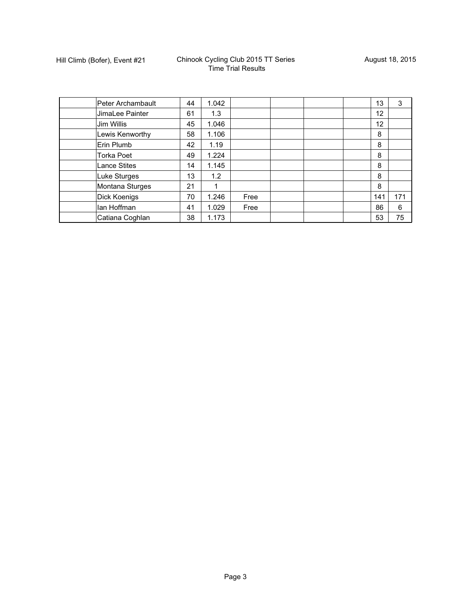| Peter Archambault   | 44 | 1.042 |      |  | 13                | 3   |
|---------------------|----|-------|------|--|-------------------|-----|
| JimaLee Painter     | 61 | 1.3   |      |  | $12 \overline{ }$ |     |
| Jim Willis          | 45 | 1.046 |      |  | 12                |     |
| Lewis Kenworthy     | 58 | 1.106 |      |  | 8                 |     |
| Erin Plumb          | 42 | 1.19  |      |  | 8                 |     |
| <b>Torka Poet</b>   | 49 | 1.224 |      |  | 8                 |     |
| <b>Lance Stites</b> | 14 | 1.145 |      |  | 8                 |     |
| <b>Luke Sturges</b> | 13 | 1.2   |      |  | 8                 |     |
| Montana Sturges     | 21 |       |      |  | 8                 |     |
| Dick Koenigs        | 70 | 1.246 | Free |  | 141               | 171 |
| lan Hoffman         | 41 | 1.029 | Free |  | 86                | 6   |
| Catiana Coghlan     | 38 | 1.173 |      |  | 53                | 75  |